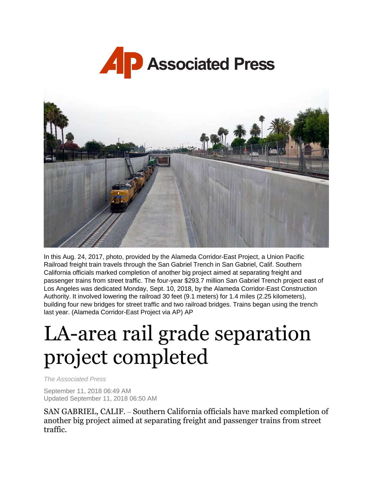



In this Aug. 24, 2017, photo, provided by the Alameda Corridor-East Project, a Union Pacific Railroad freight train travels through the San Gabriel Trench in San Gabriel, Calif. Southern California officials marked completion of another big project aimed at separating freight and passenger trains from street traffic. The four-year \$293.7 million San Gabriel Trench project east of Los Angeles was dedicated Monday, Sept. 10, 2018, by the Alameda Corridor-East Construction Authority. It involved lowering the railroad 30 feet (9.1 meters) for 1.4 miles (2.25 kilometers), building four new bridges for street traffic and two railroad bridges. Trains began using the trench last year. (Alameda Corridor-East Project via AP) AP

## LA-area rail grade separation project completed

*The Associated Press*

September 11, 2018 06:49 AM Updated September 11, 2018 06:50 AM

SAN GABRIEL, CALIF. – Southern California officials have marked completion of another big project aimed at separating freight and passenger trains from street traffic.